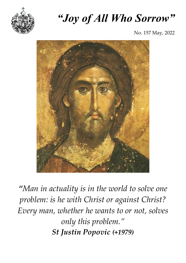

# *"Joy of All Who Sorrow"*

No. 157 May, 2022



*"Man in actuality is in the world to solve one problem: is he with Christ or against Christ? Every man, whether he wants to or not, solves only this problem." St Justin Popovic (+1979)*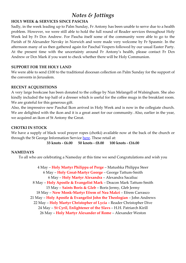## *Notes & Jottings*

#### **HOLY WEEK & SERVICES SINCE PASCHA**

Sadly, in the week leading up to Palm Sunday, Fr Antony has been unable to serve due to a health problem. However, we were still able to hold the full round of Reader services throughout Holy Week led by Fr Dcn Andrew. For Pascha itself some of the community were able to go to the Parish of St Alexander Nevsky in Norwich and were made very welcome by Fr Spasmir. In the afternoon many of us then gathered again for Paschal Vespers followed by our usual Easter Party. At the present time with the uncertainty around Fr Antony's health, please contact Fr Dcn Andrew or Dcn Mark if you want to check whether there will be Holy Communion.

#### **SUPPORT FOR THE HOLY LAND**

We were able to send £100 to the traditional diocesan collection on Palm Sunday for the support of the convents in Jerusalem.

#### **RECENT ACQUISITIONS**

A very large bookcase has been donated to the college by Nun Melangell of Walsingham. She also kindly included the top half of a dresser which is useful for the coffee mugs in the breakfast room. We are grateful for this generous gift.

Also, the impressive new Paschal Ikon arrived in Holy Week and is now in the collegiate church. We are delighted with the ikon and it is a great asset for our community. Also, earlier in the year, we acquired an ikon of St Antony the Great.

#### **CHOTKI IN STOCK**

We have a supply of black wool prayer ropes (chotki) available now at the back of the church or through the St George Information Service [here.](http://sgois.co.uk/index.php/store/item/chotki_prayer_ropes) These retail at:

**33 knots - £6.00 50 knots - £8.00 100 knots - £16.00**

#### **NAMEDAYS**

To all who are celebrating a Nameday at this time we send Congratulations and wish you

4 May – **Holy Martyr Philippa of Perge** – Matushka Philippa Steer 6 May – **Holy Great-Martyr George** – George Tattum-Smith 6 May – **Holy Martyr Alexandra** – Alexandra Sacaliuc 8 May – **Holy Apostle & Evangelist Mark** – Deacon Mark Tattum-Smith 15 May – **Saints Boris & Gleb** – Boris Jermy, Gleb Jermy 18 May – **New Monk-Martyr Efrem of Nea Makri** – Efrem Carrasco 21 May – **Holy Apostle & Evangelist John the Theologian** – John Andrews 22 May – **Holy Martyr Christopher of Lycia** – Reader Christopher Dive 24 May – **St Cyril, Enlightener of the Slavs** – H.H. Patriarch Kirill 26 May – **Holy Martyr Alexander of Rome** – Alexander Weston